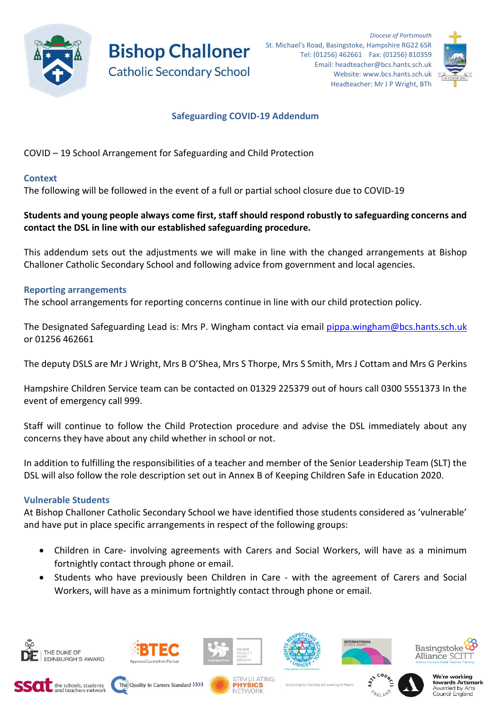

**Bishop Challoner Catholic Secondary School** 



# **Safeguarding COVID-19 Addendum**

COVID – 19 School Arrangement for Safeguarding and Child Protection

## **Context**

The following will be followed in the event of a full or partial school closure due to COVID-19

## **Students and young people always come first, staff should respond robustly to safeguarding concerns and contact the DSL in line with our established safeguarding procedure.**

This addendum sets out the adjustments we will make in line with the changed arrangements at Bishop Challoner Catholic Secondary School and following advice from government and local agencies.

## **Reporting arrangements**

The school arrangements for reporting concerns continue in line with our child protection policy.

The Designated Safeguarding Lead is: Mrs P. Wingham contact via email pippa.wingham@bcs.hants.sch.uk or 01256 462661

The deputy DSLS are Mr J Wright, Mrs B O'Shea, Mrs S Thorpe, Mrs S Smith, Mrs J Cottam and Mrs G Perkins

Hampshire Children Service team can be contacted on 01329 225379 out of hours call 0300 5551373 In the event of emergency call 999.

Staff will continue to follow the Child Protection procedure and advise the DSL immediately about any concerns they have about any child whether in school or not.

In addition to fulfilling the responsibilities of a teacher and member of the Senior Leadership Team (SLT) the DSL will also follow the role description set out in Annex B of Keeping Children Safe in Education 2020.

## **Vulnerable Students**

At Bishop Challoner Catholic Secondary School we have identified those students considered as 'vulnerable' and have put in place specific arrangements in respect of the following groups:

- Children in Care- involving agreements with Carers and Social Workers, will have as a minimum fortnightly contact through phone or email.
- Students who have previously been Children in Care with the agreement of Carers and Social Workers, will have as a minimum fortnightly contact through phone or email.



















Supporting the Teaching and Learning of Physics



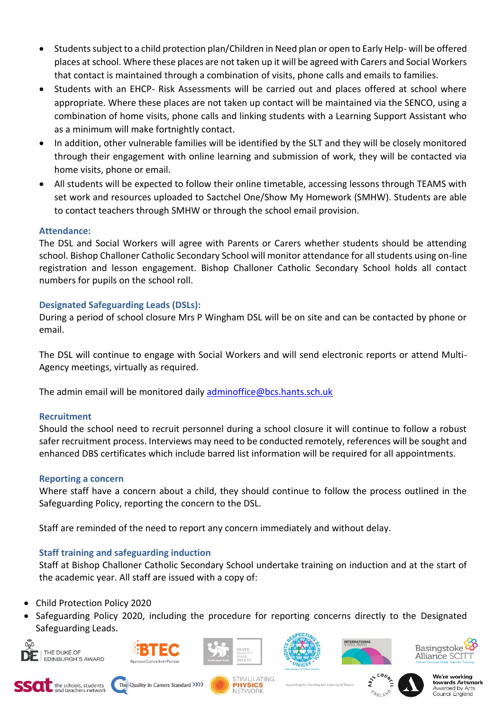- Students subject to a child protection plan/Children in Need plan or open to Early Help- will be offered places at school. Where these places are not taken up it will be agreed with Carers and Social Workers that contact is maintained through a combination of visits, phone calls and emails to families.
- Students with an EHCP- Risk Assessments will be carried out and places offered at school where appropriate. Where these places are not taken up contact will be maintained via the SENCO, using a combination of home visits, phone calls and linking students with a Learning Support Assistant who as a minimum will make fortnightly contact.
- In addition, other vulnerable families will be identified by the SLT and they will be closely monitored through their engagement with online learning and submission of work, they will be contacted via home visits, phone or email.
- All students will be expected to follow their online timetable, accessing lessons through TEAMS with set work and resources uploaded to Sactchel One/Show My Homework (SMHW). Students are able to contact teachers through SMHW or through the school email provision.

## **Attendance:**

The DSL and Social Workers will agree with Parents or Carers whether students should be attending school. Bishop Challoner Catholic Secondary School will monitor attendance for all students using on-line registration and lesson engagement. Bishop Challoner Catholic Secondary School holds all contact numbers for pupils on the school roll.

## **Designated Safeguarding Leads (DSLs):**

During a period of school closure Mrs P Wingham DSL will be on site and can be contacted by phone or email.

The DSL will continue to engage with Social Workers and will send electronic reports or attend Multi-Agency meetings, virtually as required.

The admin email will be monitored daily [adminoffice@bcs.hants.sch.uk](mailto:adminoffice@bcs.hants.sch.uk)

## **Recruitment**

Should the school need to recruit personnel during a school closure it will continue to follow a robust safer recruitment process. Interviews may need to be conducted remotely, references will be sought and enhanced DBS certificates which include barred list information will be required for all appointments.

#### **Reporting a concern**

Where staff have a concern about a child, they should continue to follow the process outlined in the Safeguarding Policy, reporting the concern to the DSL.

Staff are reminded of the need to report any concern immediately and without delay.

## **Staff training and safeguarding induction**

Staff at Bishop Challoner Catholic Secondary School undertake training on induction and at the start of the academic year. All staff are issued with a copy of:

- Child Protection Policy 2020
- Safeguarding Policy 2020, including the procedure for reporting concerns directly to the Designated Safeguarding Leads.



















Supporting the Teaching and Learning of Physics